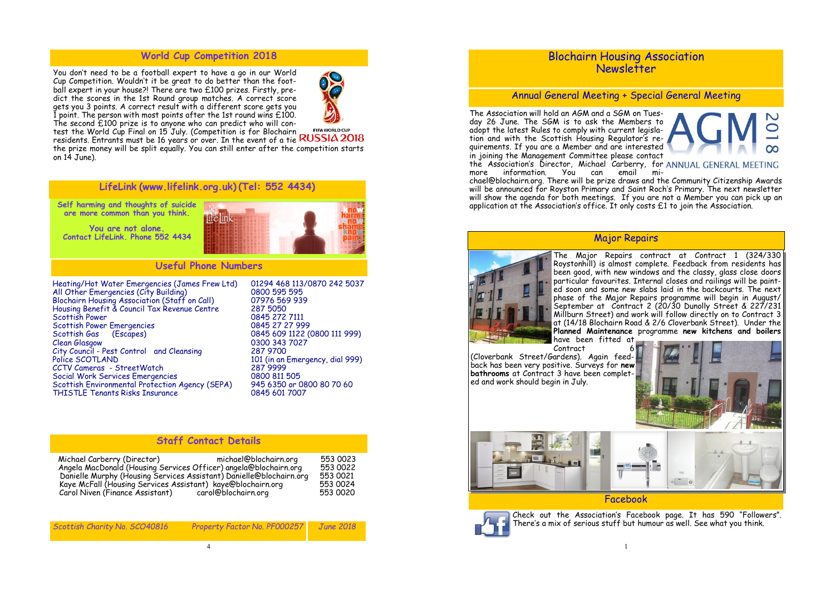You don't need to be a football expert to have a go in our World Cup Competition. Wouldn't it be great to do better than the football expert in your house?! There are two £100 prizes. Firstly, predict the scores in the 1st Round group matches. A correct score gets you 3 points. A correct result with a different score gets you I point. The person with most points after the 1st round wins  $£100$ . The second £100 prize is to anyone who can predict who will con-



**FIFA WORLD CUP** test the World Cup Final on 15 July. (Competition is for Blochairn residents. Entrants must be 16 years or over. In the event of a tie the prize money will be split equally. You can still enter after the competition starts on 14 June).

Heating/Hot Water Emergencies (James Frew Ltd) 01294 468 113/0870 242 5037 All Other Emergencies (City Building) 0800 595 595 Blochairn Housing Association (Staff on Call) 07976 569 939 Housing Benefit & Council Tax Revenue Centre<br>Scottish Power Scottish Power Emergencies<br>Scottish Gas (Escapes) Scottish Gas (Escapes) 0845 609 1122 (0800 111 999)<br>Clean Glasgow 0300 343 7027 City Council - Pest Control and Cleansing<br>Police SCOTLAND CCTV Cameras - StreetWatch Social Work Services Emergencies<br>
Scottish Environmental Protection Agency (SEPA) 945 6350 or 0800 80 70 60 Scottish Environmental Protection Agency (SEPA) THISTLE Tenants Risks Insurance **0845 601 7007** 

0845 272 7111<br>0845 27 27 999 0300 343 7027 101 (in an Emergency, dial 999)<br>287 9999

## **World Cup Competition 2018**

**LifeLink (www.lifelink.org.uk) (Tel: 552 4434)**

**Self harming and thoughts of suicide are more common than you think.** 

**You are not alone. Contact LifeLink. Phone 552 4434** 



Check out the Association's Facebook page. It has 590 "Followers". There's a mix of serious stuff but humour as well. See what you think.

# **Useful Phone Numbers**

| Scottish Charity No. SCO40816 | Property Factor No. PF000257 June 2018 |  |
|-------------------------------|----------------------------------------|--|
|                               |                                        |  |

#### **Staff Contact Details**

| michael@blochairn.org<br>Michael Carberry (Director)                | 553 0023 |
|---------------------------------------------------------------------|----------|
| Angela MacDonald (Housing Services Officer) angela@blochairn.org    | 553 0022 |
| Danielle Murphy (Housing Services Assistant) Danielle@blochairn.org | 553 0021 |
| Kaye McFall (Housing Services Assistant) kaye@blochairn.org         |          |
| Carol Niven (Finance Assistant)<br>carol@blochairn.org              | 553 0020 |



# Blochairn Housing Association Newsletter

# Annual General Meeting + Special General Meeting

The Association will hold an AGM and a SGM on Tuesday 26 June. The SGM is to ask the Members to adopt the latest Rules to comply with current legislation and with the Scottish Housing Regulator's requirements. If you are a Member and are interested ထ in joining the Management Committee please contact the Association's Director, Michael Carberry, for ANNUAL GENERAL MEETING more information. You can email michael@blochairn.org. There will be prize draws and the Community Citizenship Awards will be announced for Royston Primary and Saint Roch's Primary. The next newsletter will show the agenda for both meetings. If you are not a Member you can pick up an application at the Association's office. It only costs £1 to join the Association.

# Major Repairs





Facebook



The Major Repairs contract at Contract 1 (324/330 Roystonhill) is almost complete. Feedback from residents has been good, with new windows and the classy, glass close doors particular favourites. Internal closes and railings will be painted soon and some new slabs laid in the backcourts. The next phase of the Major Repairs programme will begin in August/ September at Contract 2 (20/30 Dunolly Street & 227/231 Millburn Street) and work will follow directly on to Contract 3 at (14/18 Blochairn Road & 2/6 Cloverbank Street). Under the **Planned Maintenance** programme **new kitchens and boilers**  have been fitted at